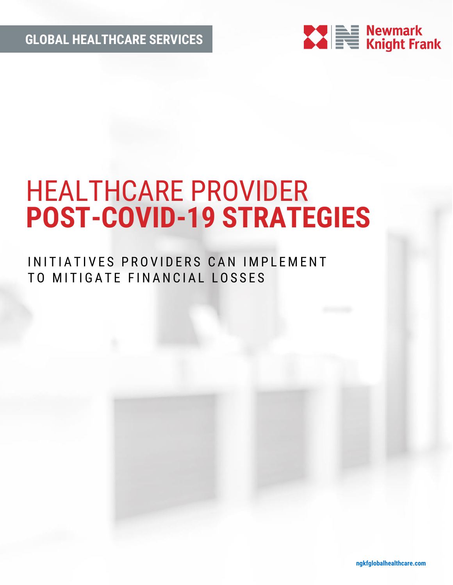**GLOBAL HEALTHCARE SERVICES**



# HEALTHCARE PROVIDER **POST-COVID-19 STRATEGIES**

## INITIATIVES PROVIDERS CAN IMPLEMENT TO MITIGATE FINANCIAL LOSSES

**ngkfglobalhealthcare.com**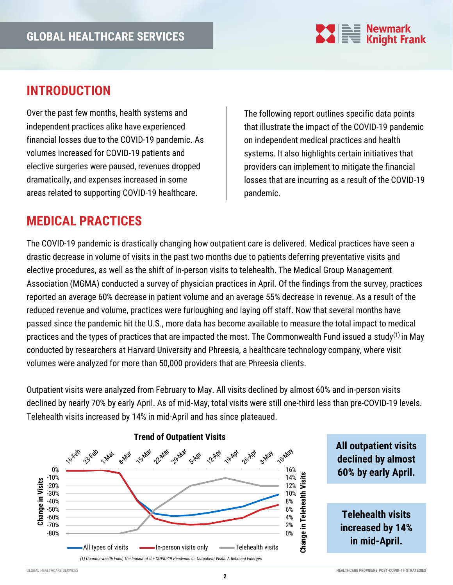

### **INTRODUCTION**

Over the past few months, health systems and independent practices alike have experienced financial losses due to the COVID-19 pandemic. As volumes increased for COVID-19 patients and elective surgeries were paused, revenues dropped dramatically, and expenses increased in some areas related to supporting COVID-19 healthcare.

The following report outlines specific data points that illustrate the impact of the COVID-19 pandemic on independent medical practices and health systems. It also highlights certain initiatives that providers can implement to mitigate the financial losses that are incurring as a result of the COVID-19 pandemic.

### **MEDICAL PRACTICES**

The COVID-19 pandemic is drastically changing how outpatient care is delivered. Medical practices have seen a drastic decrease in volume of visits in the past two months due to patients deferring preventative visits and elective procedures, as well as the shift of in-person visits to telehealth. The Medical Group Management Association (MGMA) conducted a survey of physician practices in April. Of the findings from the survey, practices reported an average 60% decrease in patient volume and an average 55% decrease in revenue. As a result of the reduced revenue and volume, practices were furloughing and laying off staff. Now that several months have passed since the pandemic hit the U.S., more data has become available to measure the total impact to medical practices and the types of practices that are impacted the most. The Commonwealth Fund issued a study<sup>(1)</sup> in May conducted by researchers at Harvard University and Phreesia, a healthcare technology company, where visit volumes were analyzed for more than 50,000 providers that are Phreesia clients.

Outpatient visits were analyzed from February to May. All visits declined by almost 60% and in-person visits declined by nearly 70% by early April. As of mid-May, total visits were still one-third less than pre-COVID-19 levels. Telehealth visits increased by 14% in mid-April and has since plateaued.



**All outpatient visits declined by almost 60% by early April.**

**Telehealth visits increased by 14% in mid-April.**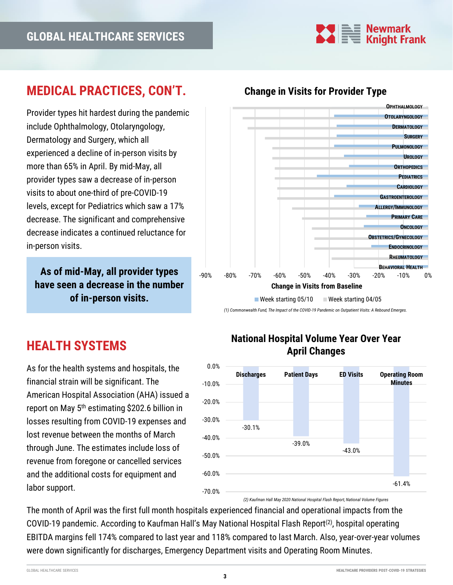

### **MEDICAL PRACTICES, CON'T.**

Provider types hit hardest during the pandemic include Ophthalmology, Otolaryngology, Dermatology and Surgery, which all experienced a decline of in-person visits by more than 65% in April. By mid-May, all provider types saw a decrease of in-person visits to about one-third of pre-COVID-19 levels, except for Pediatrics which saw a 17% decrease. The significant and comprehensive decrease indicates a continued reluctance for in-person visits.

**As of mid-May, all provider types have seen a decrease in the number of in-person visits.**

## **HEALTH SYSTEMS**

As for the health systems and hospitals, the financial strain will be significant. The American Hospital Association (AHA) issued a report on May 5th estimating \$202.6 billion in losses resulting from COVID-19 expenses and lost revenue between the months of March through June. The estimates include loss of revenue from foregone or cancelled services and the additional costs for equipment and labor support.



**Change in Visits for Provider Type**

*(1) Commonwealth Fund, The Impact of the COVID-19 Pandemic on Outpatient Visits: A Rebound Emerges.* 

#### -30.1% -39.0% -43.0% -61.4% -70.0% -60.0% -50.0% -40.0% -30.0% -20.0% -10.0% 0.0% **Discharges Patient Days ED Visits Operating Room Minutes**

#### **National Hospital Volume Year Over Year April Changes**

*(2) Kaufman Hall May 2020 National Hospital Flash Report, National Volume Figures*

The month of April was the first full month hospitals experienced financial and operational impacts from the COVID-19 pandemic. According to Kaufman Hall's May National Hospital Flash Report<sup>(2)</sup>, hospital operating EBITDA margins fell 174% compared to last year and 118% compared to last March. Also, year-over-year volumes were down significantly for discharges, Emergency Department visits and Operating Room Minutes.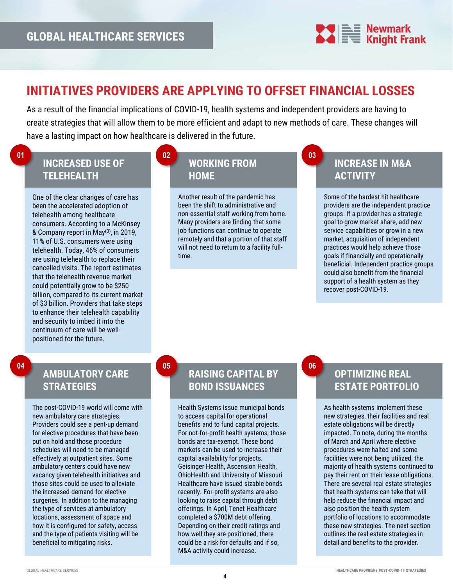

### **INITIATIVES PROVIDERS ARE APPLYING TO OFFSET FINANCIAL LOSSES**

As a result of the financial implications of COVID-19, health systems and independent providers are having to create strategies that will allow them to be more efficient and adapt to new methods of care. These changes will have a lasting impact on how healthcare is delivered in the future.

### **INCREASED USE OF TELEHEALTH**

One of the clear changes of care has been the accelerated adoption of telehealth among healthcare consumers. According to a McKinsey & Company report in May(3) , in 2019, 11% of U.S. consumers were using telehealth. Today, 46% of consumers are using telehealth to replace their cancelled visits. The report estimates that the telehealth revenue market could potentially grow to be \$250 billion, compared to its current market of \$3 billion. Providers that take steps to enhance their telehealth capability and security to imbed it into the continuum of care will be wellpositioned for the future.

### **WORKING FROM HOME**

**02**

**05**

Another result of the pandemic has been the shift to administrative and non-essential staff working from home. Many providers are finding that some job functions can continue to operate remotely and that a portion of that staff will not need to return to a facility fulltime.

### **INCREASE IN M&A ACTIVITY**

Some of the hardest hit healthcare providers are the independent practice groups. If a provider has a strategic goal to grow market share, add new service capabilities or grow in a new market, acquisition of independent practices would help achieve those goals if financially and operationally beneficial. Independent practice groups could also benefit from the financial support of a health system as they recover post-COVID-19.

#### **04**

**01**

#### **AMBULATORY CARE STRATEGIES**

The post-COVID-19 world will come with new ambulatory care strategies. Providers could see a pent-up demand for elective procedures that have been put on hold and those procedure schedules will need to be managed effectively at outpatient sites. Some ambulatory centers could have new vacancy given telehealth initiatives and those sites could be used to alleviate the increased demand for elective surgeries. In addition to the managing the type of services at ambulatory locations, assessment of space and how it is configured for safety, access and the type of patients visiting will be beneficial to mitigating risks.

### **RAISING CAPITAL BY BOND ISSUANCES**

Health Systems issue municipal bonds to access capital for operational benefits and to fund capital projects. For not-for-profit health systems, those bonds are tax-exempt. These bond markets can be used to increase their capital availability for projects. Geisinger Health, Ascension Health, OhioHealth and University of Missouri Healthcare have issued sizable bonds recently. For-profit systems are also looking to raise capital through debt offerings. In April, Tenet Healthcare completed a \$700M debt offering. Depending on their credit ratings and how well they are positioned, there could be a risk for defaults and if so, M&A activity could increase.

**06**

**03**

#### **OPTIMIZING REAL ESTATE PORTFOLIO**

As health systems implement these new strategies, their facilities and real estate obligations will be directly impacted. To note, during the months of March and April where elective procedures were halted and some facilities were not being utilized, the majority of health systems continued to pay their rent on their lease obligations. There are several real estate strategies that health systems can take that will help reduce the financial impact and also position the health system portfolio of locations to accommodate these new strategies. The next section outlines the real estate strategies in detail and benefits to the provider.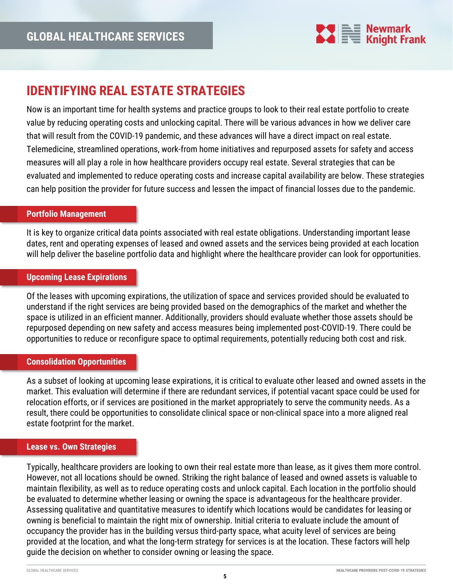

### **IDENTIFYING REAL ESTATE STRATEGIES**

Now is an important time for health systems and practice groups to look to their real estate portfolio to create value by reducing operating costs and unlocking capital. There will be various advances in how we deliver care that will result from the COVID-19 pandemic, and these advances will have a direct impact on real estate. Telemedicine, streamlined operations, work-from home initiatives and repurposed assets for safety and access measures will all play a role in how healthcare providers occupy real estate. Several strategies that can be evaluated and implemented to reduce operating costs and increase capital availability are below. These strategies can help position the provider for future success and lessen the impact of financial losses due to the pandemic.

#### **Portfolio Management**

It is key to organize critical data points associated with real estate obligations. Understanding important lease dates, rent and operating expenses of leased and owned assets and the services being provided at each location will help deliver the baseline portfolio data and highlight where the healthcare provider can look for opportunities.

#### **Upcoming Lease Expirations**

Of the leases with upcoming expirations, the utilization of space and services provided should be evaluated to understand if the right services are being provided based on the demographics of the market and whether the space is utilized in an efficient manner. Additionally, providers should evaluate whether those assets should be repurposed depending on new safety and access measures being implemented post-COVID-19. There could be opportunities to reduce or reconfigure space to optimal requirements, potentially reducing both cost and risk.

#### **Consolidation Opportunities**

As a subset of looking at upcoming lease expirations, it is critical to evaluate other leased and owned assets in the market. This evaluation will determine if there are redundant services, if potential vacant space could be used for relocation efforts, or if services are positioned in the market appropriately to serve the community needs. As a result, there could be opportunities to consolidate clinical space or non-clinical space into a more aligned real estate footprint for the market.

#### **Lease vs. Own Strategies**

Typically, healthcare providers are looking to own their real estate more than lease, as it gives them more control. However, not all locations should be owned. Striking the right balance of leased and owned assets is valuable to maintain flexibility, as well as to reduce operating costs and unlock capital. Each location in the portfolio should be evaluated to determine whether leasing or owning the space is advantageous for the healthcare provider. Assessing qualitative and quantitative measures to identify which locations would be candidates for leasing or owning is beneficial to maintain the right mix of ownership. Initial criteria to evaluate include the amount of occupancy the provider has in the building versus third-party space, what acuity level of services are being provided at the location, and what the long-term strategy for services is at the location. These factors will help guide the decision on whether to consider owning or leasing the space.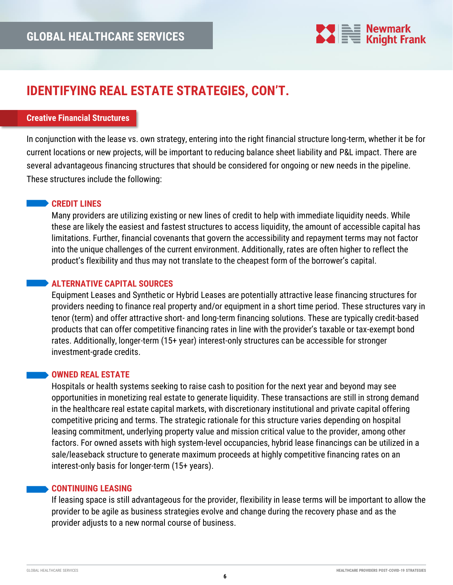

### **IDENTIFYING REAL ESTATE STRATEGIES, CON'T.**

#### **Creative Financial Structures**

In conjunction with the lease vs. own strategy, entering into the right financial structure long-term, whether it be for current locations or new projects, will be important to reducing balance sheet liability and P&L impact. There are several advantageous financing structures that should be considered for ongoing or new needs in the pipeline. These structures include the following:

#### **CREDIT LINES**

Many providers are utilizing existing or new lines of credit to help with immediate liquidity needs. While these are likely the easiest and fastest structures to access liquidity, the amount of accessible capital has limitations. Further, financial covenants that govern the accessibility and repayment terms may not factor into the unique challenges of the current environment. Additionally, rates are often higher to reflect the product's flexibility and thus may not translate to the cheapest form of the borrower's capital.

#### **ALTERNATIVE CAPITAL SOURCES**

Equipment Leases and Synthetic or Hybrid Leases are potentially attractive lease financing structures for providers needing to finance real property and/or equipment in a short time period. These structures vary in tenor (term) and offer attractive short- and long-term financing solutions. These are typically credit-based products that can offer competitive financing rates in line with the provider's taxable or tax-exempt bond rates. Additionally, longer-term (15+ year) interest-only structures can be accessible for stronger investment-grade credits.

#### **OWNED REAL ESTATE**

Hospitals or health systems seeking to raise cash to position for the next year and beyond may see opportunities in monetizing real estate to generate liquidity. These transactions are still in strong demand in the healthcare real estate capital markets, with discretionary institutional and private capital offering competitive pricing and terms. The strategic rationale for this structure varies depending on hospital leasing commitment, underlying property value and mission critical value to the provider, among other factors. For owned assets with high system-level occupancies, hybrid lease financings can be utilized in a sale/leaseback structure to generate maximum proceeds at highly competitive financing rates on an interest-only basis for longer-term (15+ years).

#### **CONTINUING LEASING**

If leasing space is still advantageous for the provider, flexibility in lease terms will be important to allow the provider to be agile as business strategies evolve and change during the recovery phase and as the provider adjusts to a new normal course of business.